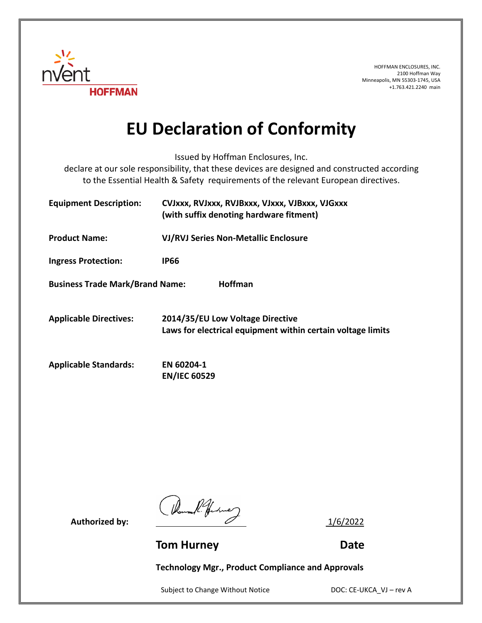

HOFFMAN ENCLOSURES, INC. 2100 Hoffman Way Minneapolis, MN 55303-1745, USA +1.763.421.2240 main

## **EU Declaration of Conformity**

Issued by Hoffman Enclosures, Inc.

declare at our sole responsibility, that these devices are designed and constructed according to the Essential Health & Safety requirements of the relevant European directives.

| <b>Equipment Description:</b>                            | CVJxxx, RVJxxx, RVJBxxx, VJxxx, VJBxxx, VJGxxx<br>(with suffix denoting hardware fitment)       |
|----------------------------------------------------------|-------------------------------------------------------------------------------------------------|
| <b>Product Name:</b>                                     | <b>VJ/RVJ Series Non-Metallic Enclosure</b>                                                     |
| <b>Ingress Protection:</b>                               | IP66                                                                                            |
| <b>Business Trade Mark/Brand Name:</b><br><b>Hoffman</b> |                                                                                                 |
| <b>Applicable Directives:</b>                            | 2014/35/EU Low Voltage Directive<br>Laws for electrical equipment within certain voltage limits |
| <b>Applicable Standards:</b>                             | EN 60204-1<br><b>EN/IEC 60529</b>                                                               |

Authorized by:  $\frac{1}{6/2022}$ 

**Tom Hurney Communication Communication Communication Communication Communication Communication Communication Communication Communication Communication Communication Communication Communication Communication Communication** 

**Technology Mgr., Product Compliance and Approvals**

Subject to Change Without Notice DOC: CE-UKCA\_VJ – rev A